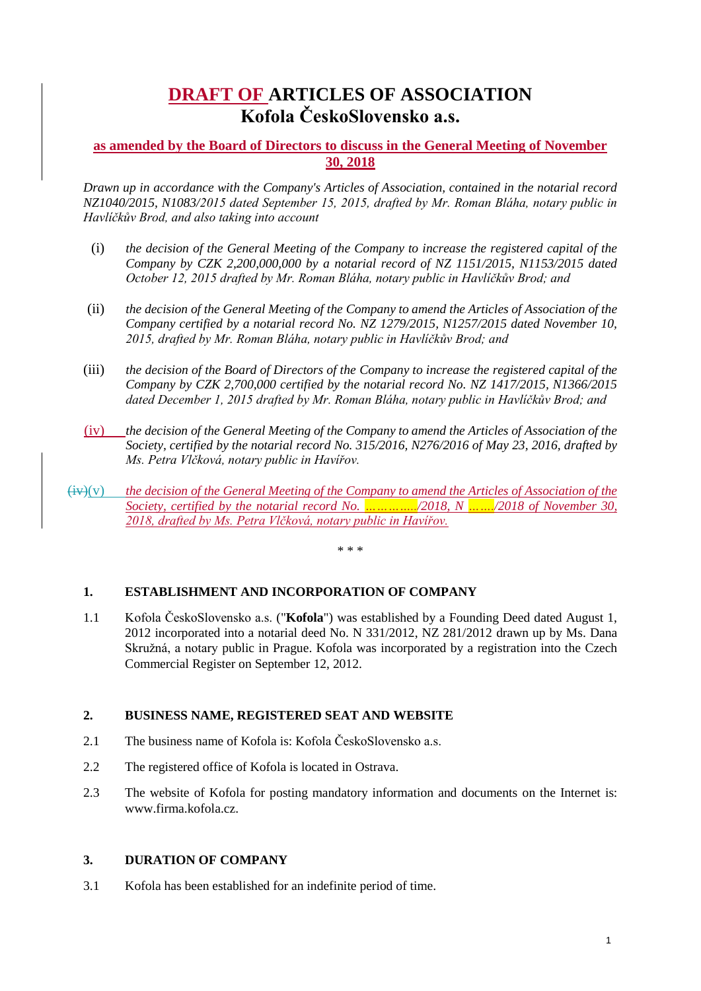# **DRAFT OF ARTICLES OF ASSOCIATION Kofola ČeskoSlovensko a.s.**

# **as amended by the Board of Directors to discuss in the General Meeting of November 30, 2018**

*Drawn up in accordance with the Company's Articles of Association, contained in the notarial record NZ1040/2015, N1083/2015 dated September 15, 2015, drafted by Mr. Roman Bláha, notary public in Havlíčkův Brod, and also taking into account*

- (i) *the decision of the General Meeting of the Company to increase the registered capital of the Company by CZK 2,200,000,000 by a notarial record of NZ 1151/2015, N1153/2015 dated October 12, 2015 drafted by Mr. Roman Bláha, notary public in Havlíčkův Brod; and*
- (ii) *the decision of the General Meeting of the Company to amend the Articles of Association of the Company certified by a notarial record No. NZ 1279/2015, N1257/2015 dated November 10, 2015, drafted by Mr. Roman Bláha, notary public in Havlíčkův Brod; and*
- (iii) *the decision of the Board of Directors of the Company to increase the registered capital of the Company by CZK 2,700,000 certified by the notarial record No. NZ 1417/2015, N1366/2015 dated December 1, 2015 drafted by Mr. Roman Bláha, notary public in Havlíčkův Brod; and*
- (iv) *the decision of the General Meeting of the Company to amend the Articles of Association of the Society, certified by the notarial record No. 315/2016, N276/2016 of May 23, 2016, drafted by Ms. Petra Vlčková, notary public in Havířov.*
- (iv)(v) *the decision of the General Meeting of the Company to amend the Articles of Association of the Society, certified by the notarial record No. …………../2018, N ……./2018 of November 30, 2018, drafted by Ms. Petra Vlčková, notary public in Havířov.*

\* \* \*

# **1. ESTABLISHMENT AND INCORPORATION OF COMPANY**

1.1 Kofola ČeskoSlovensko a.s. ("**Kofola**") was established by a Founding Deed dated August 1, 2012 incorporated into a notarial deed No. N 331/2012, NZ 281/2012 drawn up by Ms. Dana Skružná, a notary public in Prague. Kofola was incorporated by a registration into the Czech Commercial Register on September 12, 2012.

# **2. BUSINESS NAME, REGISTERED SEAT AND WEBSITE**

- 2.1 The business name of Kofola is: Kofola ČeskoSlovensko a.s.
- 2.2 The registered office of Kofola is located in Ostrava.
- 2.3 The website of Kofola for posting mandatory information and documents on the Internet is: www.firma.kofola.cz.

# **3. DURATION OF COMPANY**

3.1 Kofola has been established for an indefinite period of time.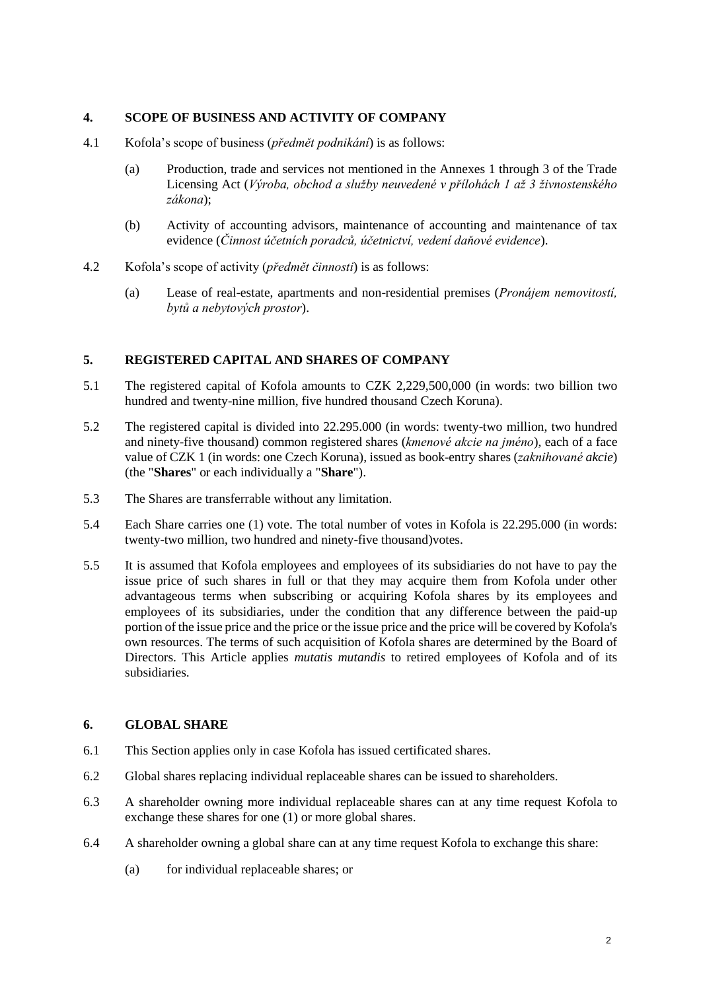## **4. SCOPE OF BUSINESS AND ACTIVITY OF COMPANY**

- 4.1 Kofola's scope of business (*předmět podnikání*) is as follows:
	- (a) Production, trade and services not mentioned in the Annexes 1 through 3 of the Trade Licensing Act (*Výroba, obchod a služby neuvedené v přílohách 1 až 3 živnostenského zákona*);
	- (b) Activity of accounting advisors, maintenance of accounting and maintenance of tax evidence (*Činnost účetních poradců, účetnictví, vedení daňové evidence*).
- 4.2 Kofola's scope of activity (*předmět činnosti*) is as follows:
	- (a) Lease of real-estate, apartments and non-residential premises (*Pronájem nemovitostí, bytů a nebytových prostor*).

#### **5. REGISTERED CAPITAL AND SHARES OF COMPANY**

- 5.1 The registered capital of Kofola amounts to CZK 2,229,500,000 (in words: two billion two hundred and twenty-nine million, five hundred thousand Czech Koruna).
- 5.2 The registered capital is divided into 22.295.000 (in words: twenty-two million, two hundred and ninety-five thousand) common registered shares (*kmenové akcie na jméno*), each of a face value of CZK 1 (in words: one Czech Koruna), issued as book-entry shares (*zaknihované akcie*) (the "**Shares**" or each individually a "**Share**").
- 5.3 The Shares are transferrable without any limitation.
- 5.4 Each Share carries one (1) vote. The total number of votes in Kofola is 22.295.000 (in words: twenty-two million, two hundred and ninety-five thousand)votes.
- 5.5 It is assumed that Kofola employees and employees of its subsidiaries do not have to pay the issue price of such shares in full or that they may acquire them from Kofola under other advantageous terms when subscribing or acquiring Kofola shares by its employees and employees of its subsidiaries, under the condition that any difference between the paid-up portion of the issue price and the price or the issue price and the price will be covered by Kofola's own resources. The terms of such acquisition of Kofola shares are determined by the Board of Directors. This Article applies *mutatis mutandis* to retired employees of Kofola and of its subsidiaries.

### **6. GLOBAL SHARE**

- 6.1 This Section applies only in case Kofola has issued certificated shares.
- 6.2 Global shares replacing individual replaceable shares can be issued to shareholders.
- <span id="page-1-1"></span>6.3 A shareholder owning more individual replaceable shares can at any time request Kofola to exchange these shares for one (1) or more global shares.
- <span id="page-1-2"></span><span id="page-1-0"></span>6.4 A shareholder owning a global share can at any time request Kofola to exchange this share:
	- (a) for individual replaceable shares; or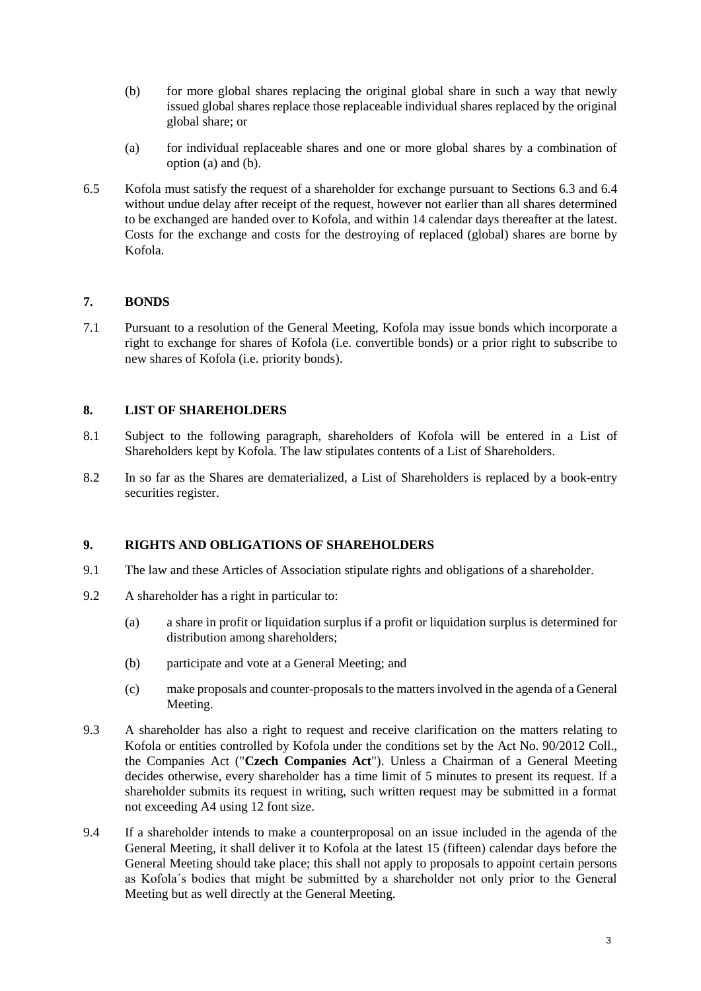- <span id="page-2-0"></span>(b) for more global shares replacing the original global share in such a way that newly issued global shares replace those replaceable individual shares replaced by the original global share; or
- (a) for individual replaceable shares and one or more global shares by a combination of option [\(a\)](#page-1-0) and [\(b\).](#page-2-0)
- 6.5 Kofola must satisfy the request of a shareholder for exchange pursuant to Sections [6.3](#page-1-1) and [6.4](#page-1-2) without undue delay after receipt of the request, however not earlier than all shares determined to be exchanged are handed over to Kofola, and within 14 calendar days thereafter at the latest. Costs for the exchange and costs for the destroying of replaced (global) shares are borne by Kofola.

# **7. BONDS**

7.1 Pursuant to a resolution of the General Meeting, Kofola may issue bonds which incorporate a right to exchange for shares of Kofola (i.e. convertible bonds) or a prior right to subscribe to new shares of Kofola (i.e. priority bonds).

# **8. LIST OF SHAREHOLDERS**

- 8.1 Subject to the following paragraph, shareholders of Kofola will be entered in a List of Shareholders kept by Kofola. The law stipulates contents of a List of Shareholders.
- 8.2 In so far as the Shares are dematerialized, a List of Shareholders is replaced by a book-entry securities register.

# **9. RIGHTS AND OBLIGATIONS OF SHAREHOLDERS**

- 9.1 The law and these Articles of Association stipulate rights and obligations of a shareholder.
- 9.2 A shareholder has a right in particular to:
	- (a) a share in profit or liquidation surplus if a profit or liquidation surplus is determined for distribution among shareholders;
	- (b) participate and vote at a General Meeting; and
	- (c) make proposals and counter-proposals to the matters involved in the agenda of a General Meeting.
- 9.3 A shareholder has also a right to request and receive clarification on the matters relating to Kofola or entities controlled by Kofola under the conditions set by the Act No. 90/2012 Coll., the Companies Act ("**Czech Companies Act**"). Unless a Chairman of a General Meeting decides otherwise, every shareholder has a time limit of 5 minutes to present its request. If a shareholder submits its request in writing, such written request may be submitted in a format not exceeding A4 using 12 font size.
- 9.4 If a shareholder intends to make a counterproposal on an issue included in the agenda of the General Meeting, it shall deliver it to Kofola at the latest 15 (fifteen) calendar days before the General Meeting should take place; this shall not apply to proposals to appoint certain persons as Kofola´s bodies that might be submitted by a shareholder not only prior to the General Meeting but as well directly at the General Meeting.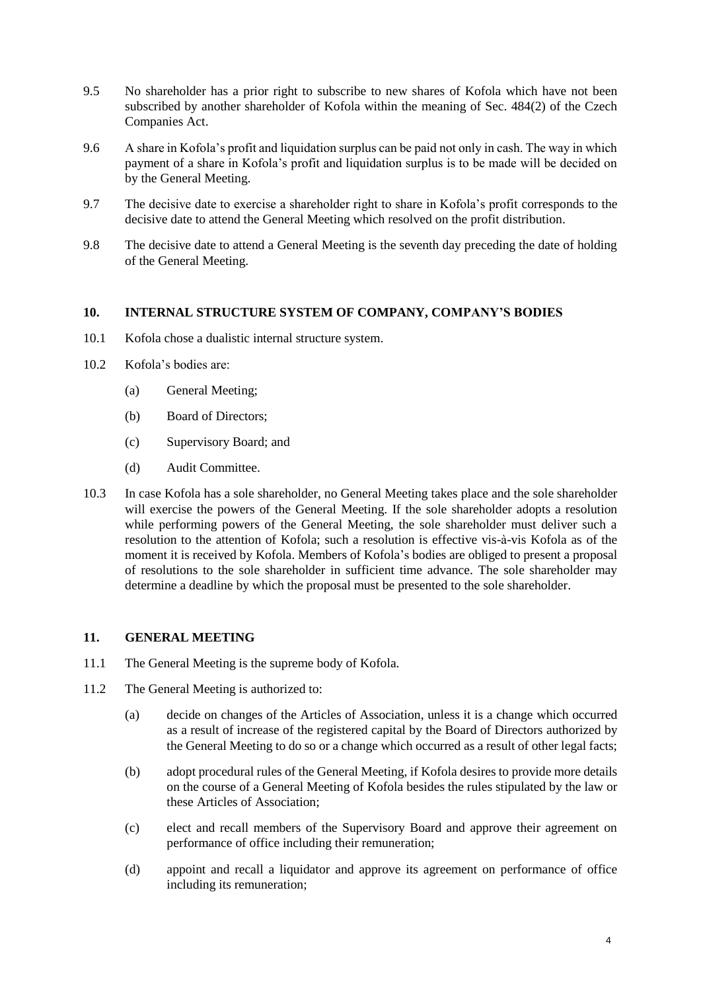- 9.5 No shareholder has a prior right to subscribe to new shares of Kofola which have not been subscribed by another shareholder of Kofola within the meaning of Sec. 484(2) of the Czech Companies Act.
- 9.6 A share in Kofola's profit and liquidation surplus can be paid not only in cash. The way in which payment of a share in Kofola's profit and liquidation surplus is to be made will be decided on by the General Meeting.
- 9.7 The decisive date to exercise a shareholder right to share in Kofola's profit corresponds to the decisive date to attend the General Meeting which resolved on the profit distribution.
- 9.8 The decisive date to attend a General Meeting is the seventh day preceding the date of holding of the General Meeting.

## **10. INTERNAL STRUCTURE SYSTEM OF COMPANY, COMPANY'S BODIES**

- 10.1 Kofola chose a dualistic internal structure system.
- 10.2 Kofola's bodies are:
	- (a) General Meeting;
	- (b) Board of Directors;
	- (c) Supervisory Board; and
	- (d) Audit Committee.
- 10.3 In case Kofola has a sole shareholder, no General Meeting takes place and the sole shareholder will exercise the powers of the General Meeting. If the sole shareholder adopts a resolution while performing powers of the General Meeting, the sole shareholder must deliver such a resolution to the attention of Kofola; such a resolution is effective vis-à-vis Kofola as of the moment it is received by Kofola. Members of Kofola's bodies are obliged to present a proposal of resolutions to the sole shareholder in sufficient time advance. The sole shareholder may determine a deadline by which the proposal must be presented to the sole shareholder.

## **11. GENERAL MEETING**

- 11.1 The General Meeting is the supreme body of Kofola.
- 11.2 The General Meeting is authorized to:
	- (a) decide on changes of the Articles of Association, unless it is a change which occurred as a result of increase of the registered capital by the Board of Directors authorized by the General Meeting to do so or a change which occurred as a result of other legal facts;
	- (b) adopt procedural rules of the General Meeting, if Kofola desires to provide more details on the course of a General Meeting of Kofola besides the rules stipulated by the law or these Articles of Association;
	- (c) elect and recall members of the Supervisory Board and approve their agreement on performance of office including their remuneration;
	- (d) appoint and recall a liquidator and approve its agreement on performance of office including its remuneration;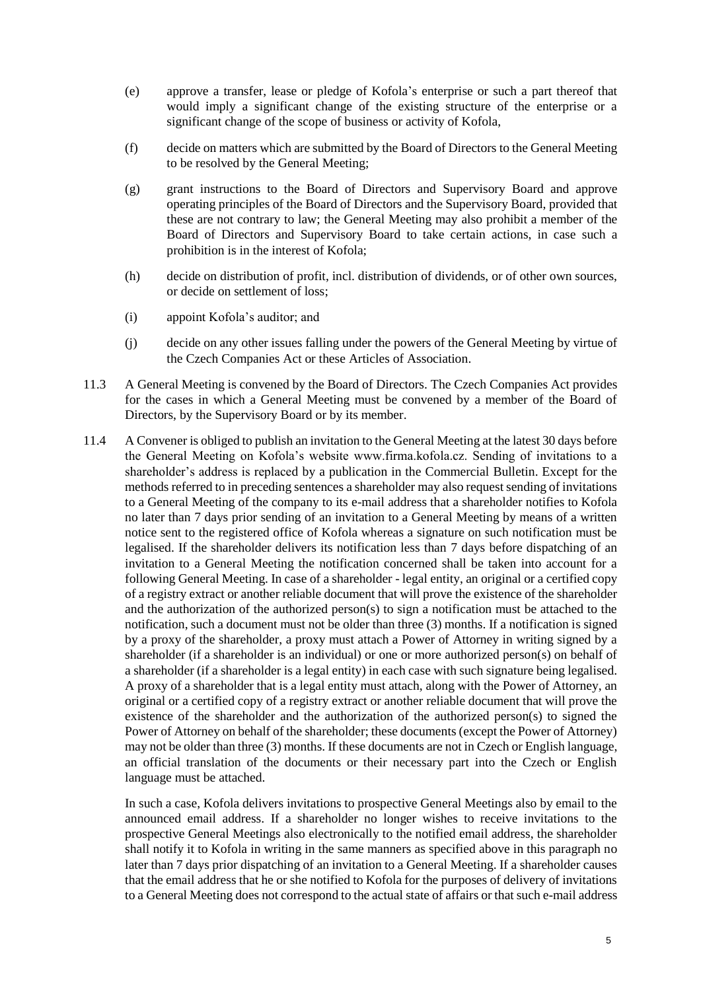- (e) approve a transfer, lease or pledge of Kofola's enterprise or such a part thereof that would imply a significant change of the existing structure of the enterprise or a significant change of the scope of business or activity of Kofola,
- (f) decide on matters which are submitted by the Board of Directors to the General Meeting to be resolved by the General Meeting;
- (g) grant instructions to the Board of Directors and Supervisory Board and approve operating principles of the Board of Directors and the Supervisory Board, provided that these are not contrary to law; the General Meeting may also prohibit a member of the Board of Directors and Supervisory Board to take certain actions, in case such a prohibition is in the interest of Kofola;
- (h) decide on distribution of profit, incl. distribution of dividends, or of other own sources, or decide on settlement of loss;
- (i) appoint Kofola's auditor; and
- (j) decide on any other issues falling under the powers of the General Meeting by virtue of the Czech Companies Act or these Articles of Association.
- 11.3 A General Meeting is convened by the Board of Directors. The Czech Companies Act provides for the cases in which a General Meeting must be convened by a member of the Board of Directors, by the Supervisory Board or by its member.
- 11.4 A Convener is obliged to publish an invitation to the General Meeting at the latest 30 days before the General Meeting on Kofola's website www.firma.kofola.cz. Sending of invitations to a shareholder's address is replaced by a publication in the Commercial Bulletin. Except for the methods referred to in preceding sentences a shareholder may also request sending of invitations to a General Meeting of the company to its e-mail address that a shareholder notifies to Kofola no later than 7 days prior sending of an invitation to a General Meeting by means of a written notice sent to the registered office of Kofola whereas a signature on such notification must be legalised. If the shareholder delivers its notification less than 7 days before dispatching of an invitation to a General Meeting the notification concerned shall be taken into account for a following General Meeting. In case of a shareholder - legal entity, an original or a certified copy of a registry extract or another reliable document that will prove the existence of the shareholder and the authorization of the authorized person(s) to sign a notification must be attached to the notification, such a document must not be older than three (3) months. If a notification is signed by a proxy of the shareholder, a proxy must attach a Power of Attorney in writing signed by a shareholder (if a shareholder is an individual) or one or more authorized person(s) on behalf of a shareholder (if a shareholder is a legal entity) in each case with such signature being legalised. A proxy of a shareholder that is a legal entity must attach, along with the Power of Attorney, an original or a certified copy of a registry extract or another reliable document that will prove the existence of the shareholder and the authorization of the authorized person(s) to signed the Power of Attorney on behalf of the shareholder; these documents (except the Power of Attorney) may not be older than three (3) months. If these documents are not in Czech or English language, an official translation of the documents or their necessary part into the Czech or English language must be attached.

In such a case, Kofola delivers invitations to prospective General Meetings also by email to the announced email address. If a shareholder no longer wishes to receive invitations to the prospective General Meetings also electronically to the notified email address, the shareholder shall notify it to Kofola in writing in the same manners as specified above in this paragraph no later than 7 days prior dispatching of an invitation to a General Meeting. If a shareholder causes that the email address that he or she notified to Kofola for the purposes of delivery of invitations to a General Meeting does not correspond to the actual state of affairs or that such e-mail address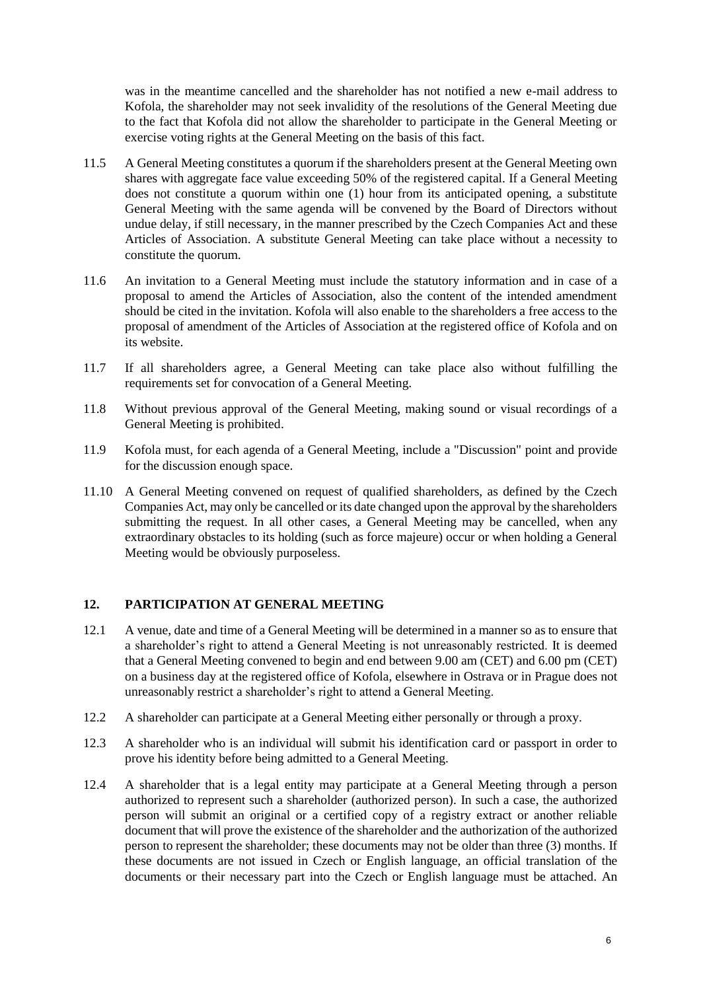was in the meantime cancelled and the shareholder has not notified a new e-mail address to Kofola, the shareholder may not seek invalidity of the resolutions of the General Meeting due to the fact that Kofola did not allow the shareholder to participate in the General Meeting or exercise voting rights at the General Meeting on the basis of this fact.

- 11.5 A General Meeting constitutes a quorum if the shareholders present at the General Meeting own shares with aggregate face value exceeding 50% of the registered capital. If a General Meeting does not constitute a quorum within one (1) hour from its anticipated opening, a substitute General Meeting with the same agenda will be convened by the Board of Directors without undue delay, if still necessary, in the manner prescribed by the Czech Companies Act and these Articles of Association. A substitute General Meeting can take place without a necessity to constitute the quorum.
- 11.6 An invitation to a General Meeting must include the statutory information and in case of a proposal to amend the Articles of Association, also the content of the intended amendment should be cited in the invitation. Kofola will also enable to the shareholders a free access to the proposal of amendment of the Articles of Association at the registered office of Kofola and on its website.
- 11.7 If all shareholders agree, a General Meeting can take place also without fulfilling the requirements set for convocation of a General Meeting.
- 11.8 Without previous approval of the General Meeting, making sound or visual recordings of a General Meeting is prohibited.
- 11.9 Kofola must, for each agenda of a General Meeting, include a "Discussion" point and provide for the discussion enough space.
- 11.10 A General Meeting convened on request of qualified shareholders, as defined by the Czech Companies Act, may only be cancelled or its date changed upon the approval by the shareholders submitting the request. In all other cases, a General Meeting may be cancelled, when any extraordinary obstacles to its holding (such as force majeure) occur or when holding a General Meeting would be obviously purposeless.

# **12. PARTICIPATION AT GENERAL MEETING**

- 12.1 A venue, date and time of a General Meeting will be determined in a manner so as to ensure that a shareholder's right to attend a General Meeting is not unreasonably restricted. It is deemed that a General Meeting convened to begin and end between 9.00 am (CET) and 6.00 pm (CET) on a business day at the registered office of Kofola, elsewhere in Ostrava or in Prague does not unreasonably restrict a shareholder's right to attend a General Meeting.
- 12.2 A shareholder can participate at a General Meeting either personally or through a proxy.
- <span id="page-5-0"></span>12.3 A shareholder who is an individual will submit his identification card or passport in order to prove his identity before being admitted to a General Meeting.
- 12.4 A shareholder that is a legal entity may participate at a General Meeting through a person authorized to represent such a shareholder (authorized person). In such a case, the authorized person will submit an original or a certified copy of a registry extract or another reliable document that will prove the existence of the shareholder and the authorization of the authorized person to represent the shareholder; these documents may not be older than three (3) months. If these documents are not issued in Czech or English language, an official translation of the documents or their necessary part into the Czech or English language must be attached. An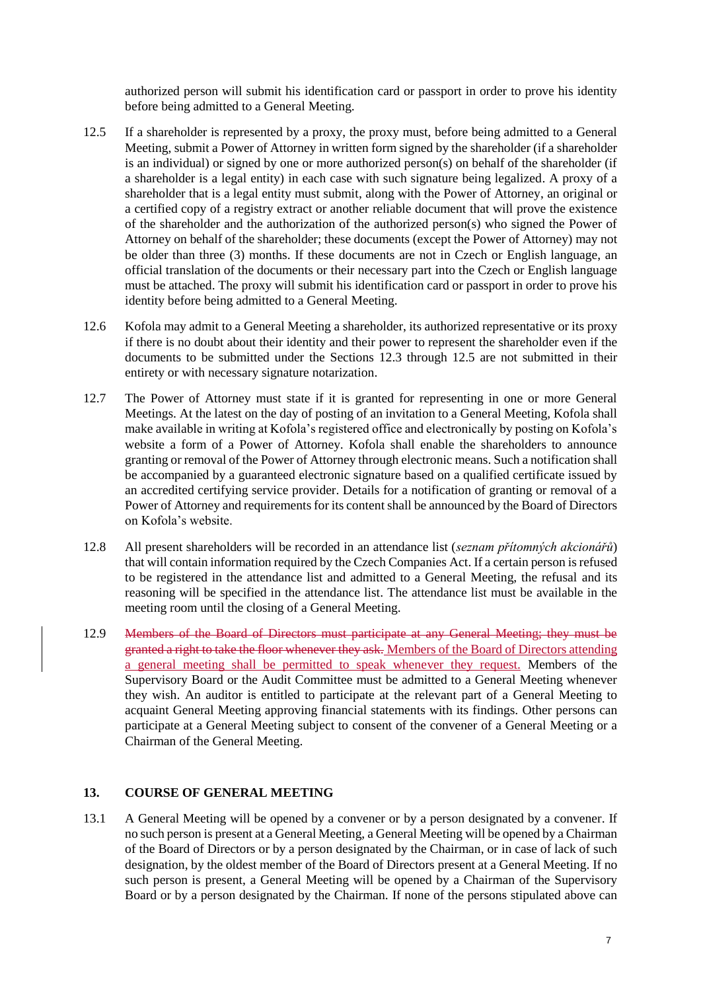authorized person will submit his identification card or passport in order to prove his identity before being admitted to a General Meeting.

- <span id="page-6-0"></span>12.5 If a shareholder is represented by a proxy, the proxy must, before being admitted to a General Meeting, submit a Power of Attorney in written form signed by the shareholder (if a shareholder is an individual) or signed by one or more authorized person(s) on behalf of the shareholder (if a shareholder is a legal entity) in each case with such signature being legalized. A proxy of a shareholder that is a legal entity must submit, along with the Power of Attorney, an original or a certified copy of a registry extract or another reliable document that will prove the existence of the shareholder and the authorization of the authorized person(s) who signed the Power of Attorney on behalf of the shareholder; these documents (except the Power of Attorney) may not be older than three (3) months. If these documents are not in Czech or English language, an official translation of the documents or their necessary part into the Czech or English language must be attached. The proxy will submit his identification card or passport in order to prove his identity before being admitted to a General Meeting.
- 12.6 Kofola may admit to a General Meeting a shareholder, its authorized representative or its proxy if there is no doubt about their identity and their power to represent the shareholder even if the documents to be submitted under the Sections [12.3](#page-5-0) through [12.5](#page-6-0) are not submitted in their entirety or with necessary signature notarization.
- 12.7 The Power of Attorney must state if it is granted for representing in one or more General Meetings. At the latest on the day of posting of an invitation to a General Meeting, Kofola shall make available in writing at Kofola's registered office and electronically by posting on Kofola's website a form of a Power of Attorney. Kofola shall enable the shareholders to announce granting or removal of the Power of Attorney through electronic means. Such a notification shall be accompanied by a guaranteed electronic signature based on a qualified certificate issued by an accredited certifying service provider. Details for a notification of granting or removal of a Power of Attorney and requirements for its content shall be announced by the Board of Directors on Kofola's website.
- 12.8 All present shareholders will be recorded in an attendance list (*seznam přítomných akcionářů*) that will contain information required by the Czech Companies Act. If a certain person is refused to be registered in the attendance list and admitted to a General Meeting, the refusal and its reasoning will be specified in the attendance list. The attendance list must be available in the meeting room until the closing of a General Meeting.
- 12.9 Members of the Board of Directors must participate at any General Meeting; they must be granted a right to take the floor whenever they ask. Members of the Board of Directors attending a general meeting shall be permitted to speak whenever they request. Members of the Supervisory Board or the Audit Committee must be admitted to a General Meeting whenever they wish. An auditor is entitled to participate at the relevant part of a General Meeting to acquaint General Meeting approving financial statements with its findings. Other persons can participate at a General Meeting subject to consent of the convener of a General Meeting or a Chairman of the General Meeting.

### **13. COURSE OF GENERAL MEETING**

13.1 A General Meeting will be opened by a convener or by a person designated by a convener. If no such person is present at a General Meeting, a General Meeting will be opened by a Chairman of the Board of Directors or by a person designated by the Chairman, or in case of lack of such designation, by the oldest member of the Board of Directors present at a General Meeting. If no such person is present, a General Meeting will be opened by a Chairman of the Supervisory Board or by a person designated by the Chairman. If none of the persons stipulated above can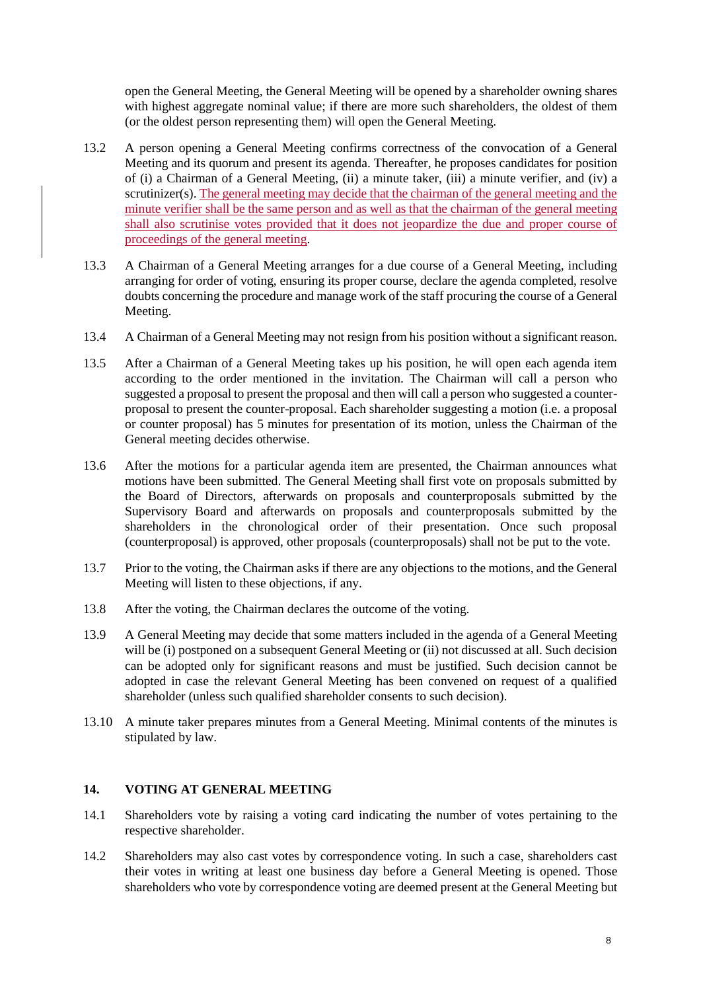open the General Meeting, the General Meeting will be opened by a shareholder owning shares with highest aggregate nominal value; if there are more such shareholders, the oldest of them (or the oldest person representing them) will open the General Meeting.

- 13.2 A person opening a General Meeting confirms correctness of the convocation of a General Meeting and its quorum and present its agenda. Thereafter, he proposes candidates for position of (i) a Chairman of a General Meeting, (ii) a minute taker, (iii) a minute verifier, and (iv) a scrutinizer(s). The general meeting may decide that the chairman of the general meeting and the minute verifier shall be the same person and as well as that the chairman of the general meeting shall also scrutinise votes provided that it does not jeopardize the due and proper course of proceedings of the general meeting.
- 13.3 A Chairman of a General Meeting arranges for a due course of a General Meeting, including arranging for order of voting, ensuring its proper course, declare the agenda completed, resolve doubts concerning the procedure and manage work of the staff procuring the course of a General Meeting.
- 13.4 A Chairman of a General Meeting may not resign from his position without a significant reason.
- 13.5 After a Chairman of a General Meeting takes up his position, he will open each agenda item according to the order mentioned in the invitation. The Chairman will call a person who suggested a proposal to present the proposal and then will call a person who suggested a counterproposal to present the counter-proposal. Each shareholder suggesting a motion (i.e. a proposal or counter proposal) has 5 minutes for presentation of its motion, unless the Chairman of the General meeting decides otherwise.
- 13.6 After the motions for a particular agenda item are presented, the Chairman announces what motions have been submitted. The General Meeting shall first vote on proposals submitted by the Board of Directors, afterwards on proposals and counterproposals submitted by the Supervisory Board and afterwards on proposals and counterproposals submitted by the shareholders in the chronological order of their presentation. Once such proposal (counterproposal) is approved, other proposals (counterproposals) shall not be put to the vote.
- 13.7 Prior to the voting, the Chairman asks if there are any objections to the motions, and the General Meeting will listen to these objections, if any.
- 13.8 After the voting, the Chairman declares the outcome of the voting.
- 13.9 A General Meeting may decide that some matters included in the agenda of a General Meeting will be (i) postponed on a subsequent General Meeting or (ii) not discussed at all. Such decision can be adopted only for significant reasons and must be justified. Such decision cannot be adopted in case the relevant General Meeting has been convened on request of a qualified shareholder (unless such qualified shareholder consents to such decision).
- 13.10 A minute taker prepares minutes from a General Meeting. Minimal contents of the minutes is stipulated by law.

# **14. VOTING AT GENERAL MEETING**

- 14.1 Shareholders vote by raising a voting card indicating the number of votes pertaining to the respective shareholder.
- 14.2 Shareholders may also cast votes by correspondence voting. In such a case, shareholders cast their votes in writing at least one business day before a General Meeting is opened. Those shareholders who vote by correspondence voting are deemed present at the General Meeting but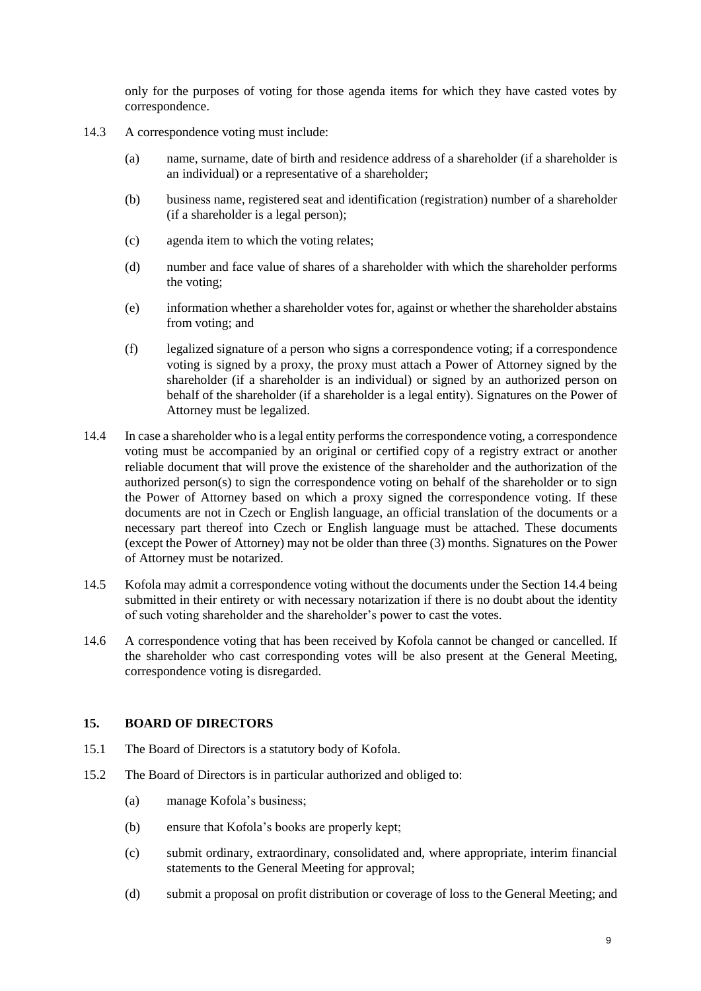only for the purposes of voting for those agenda items for which they have casted votes by correspondence.

- 14.3 A correspondence voting must include:
	- (a) name, surname, date of birth and residence address of a shareholder (if a shareholder is an individual) or a representative of a shareholder;
	- (b) business name, registered seat and identification (registration) number of a shareholder (if a shareholder is a legal person);
	- (c) agenda item to which the voting relates;
	- (d) number and face value of shares of a shareholder with which the shareholder performs the voting;
	- (e) information whether a shareholder votes for, against or whether the shareholder abstains from voting; and
	- (f) legalized signature of a person who signs a correspondence voting; if a correspondence voting is signed by a proxy, the proxy must attach a Power of Attorney signed by the shareholder (if a shareholder is an individual) or signed by an authorized person on behalf of the shareholder (if a shareholder is a legal entity). Signatures on the Power of Attorney must be legalized.
- <span id="page-8-0"></span>14.4 In case a shareholder who is a legal entity performs the correspondence voting, a correspondence voting must be accompanied by an original or certified copy of a registry extract or another reliable document that will prove the existence of the shareholder and the authorization of the authorized person(s) to sign the correspondence voting on behalf of the shareholder or to sign the Power of Attorney based on which a proxy signed the correspondence voting. If these documents are not in Czech or English language, an official translation of the documents or a necessary part thereof into Czech or English language must be attached. These documents (except the Power of Attorney) may not be older than three (3) months. Signatures on the Power of Attorney must be notarized.
- 14.5 Kofola may admit a correspondence voting without the documents under the Section [14.4](#page-8-0) being submitted in their entirety or with necessary notarization if there is no doubt about the identity of such voting shareholder and the shareholder's power to cast the votes.
- 14.6 A correspondence voting that has been received by Kofola cannot be changed or cancelled. If the shareholder who cast corresponding votes will be also present at the General Meeting, correspondence voting is disregarded.

#### **15. BOARD OF DIRECTORS**

- 15.1 The Board of Directors is a statutory body of Kofola.
- 15.2 The Board of Directors is in particular authorized and obliged to:
	- (a) manage Kofola's business;
	- (b) ensure that Kofola's books are properly kept;
	- (c) submit ordinary, extraordinary, consolidated and, where appropriate, interim financial statements to the General Meeting for approval;
	- (d) submit a proposal on profit distribution or coverage of loss to the General Meeting; and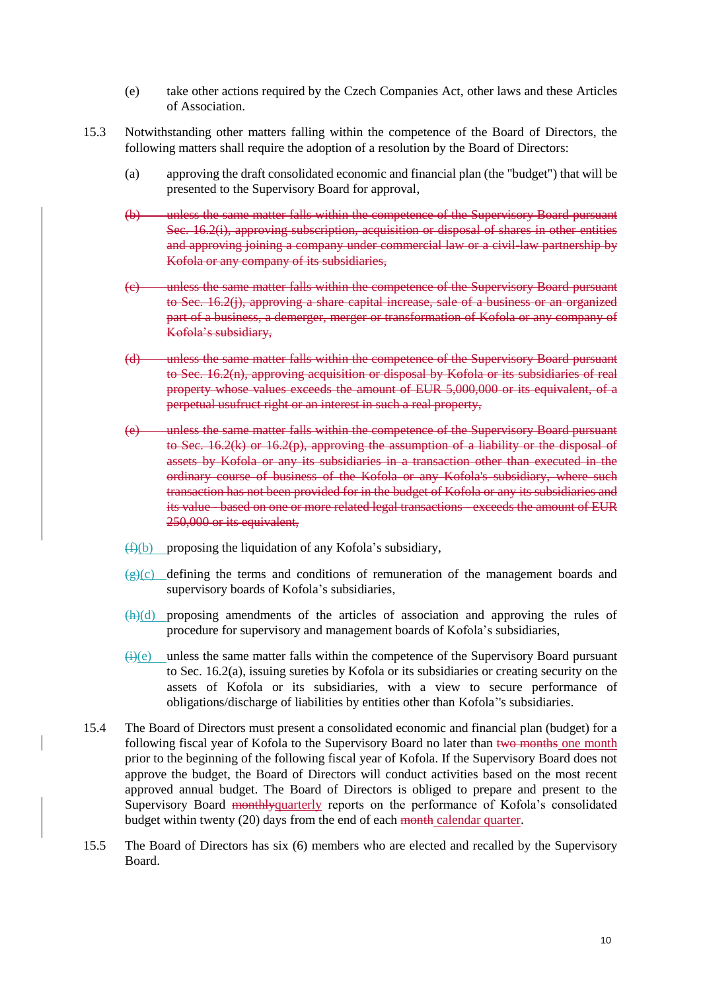- (e) take other actions required by the Czech Companies Act, other laws and these Articles of Association.
- 15.3 Notwithstanding other matters falling within the competence of the Board of Directors, the following matters shall require the adoption of a resolution by the Board of Directors:
	- (a) approving the draft consolidated economic and financial plan (the "budget") that will be presented to the Supervisory Board for approval,
	- (b) unless the same matter falls within the competence of the Supervisory Board pursuant Sec. [16.2](#page-11-0)[\(i\),](#page-11-1) approving subscription, acquisition or disposal of shares in other entities and approving joining a company under commercial law or a civil-law partnership by Kofola or any company of its subsidiaries,
	- (c) unless the same matter falls within the competence of the Supervisory Board pursuant to Sec. [16.2](#page-11-0)[\(j\),](#page-11-2) approving a share capital increase, sale of a business or an organized part of a business, a demerger, merger or transformation of Kofola or any company of Kofola's subsidiary,
	- (d) unless the same matter falls within the competence of the Supervisory Board pursuant to Sec. [16.2](#page-11-0)[\(n\),](#page-12-0) approving acquisition or disposal by Kofola or its subsidiaries of real property whose values exceeds the amount of EUR 5,000,000 or its equivalent, of a perpetual usufruct right or an interest in such a real property,
	- (e) unless the same matter falls within the competence of the Supervisory Board pursuant to Sec. [16.2](#page-11-0)[\(k\)](#page-12-1) or 16.2[\(p\),](#page-12-2) approving the assumption of a liability or the disposal of assets by Kofola or any its subsidiaries in a transaction other than executed in the ordinary course of business of the Kofola or any Kofola's subsidiary, where such transaction has not been provided for in the budget of Kofola or any its subsidiaries and its value - based on one or more related legal transactions - exceeds the amount of EUR 250,000 or its equivalent,
	- $(f)(b)$  proposing the liquidation of any Kofola's subsidiary,
	- $\overline{(g)}(c)$  defining the terms and conditions of remuneration of the management boards and supervisory boards of Kofola's subsidiaries,
	- $(h)(d)$  proposing amendments of the articles of association and approving the rules of procedure for supervisory and management boards of Kofola's subsidiaries,
	- $(i)(e)$  unless the same matter falls within the competence of the Supervisory Board pursuant to Sec. [16.2](#page-11-0)[\(a\),](#page-12-1) issuing sureties by Kofola or its subsidiaries or creating security on the assets of Kofola or its subsidiaries, with a view to secure performance of obligations/discharge of liabilities by entities other than Kofola''s subsidiaries.
- 15.4 The Board of Directors must present a consolidated economic and financial plan (budget) for a following fiscal year of Kofola to the Supervisory Board no later than two months one month prior to the beginning of the following fiscal year of Kofola. If the Supervisory Board does not approve the budget, the Board of Directors will conduct activities based on the most recent approved annual budget. The Board of Directors is obliged to prepare and present to the Supervisory Board monthlyquarterly reports on the performance of Kofola's consolidated budget within twenty (20) days from the end of each month calendar quarter.
- 15.5 The Board of Directors has six (6) members who are elected and recalled by the Supervisory Board.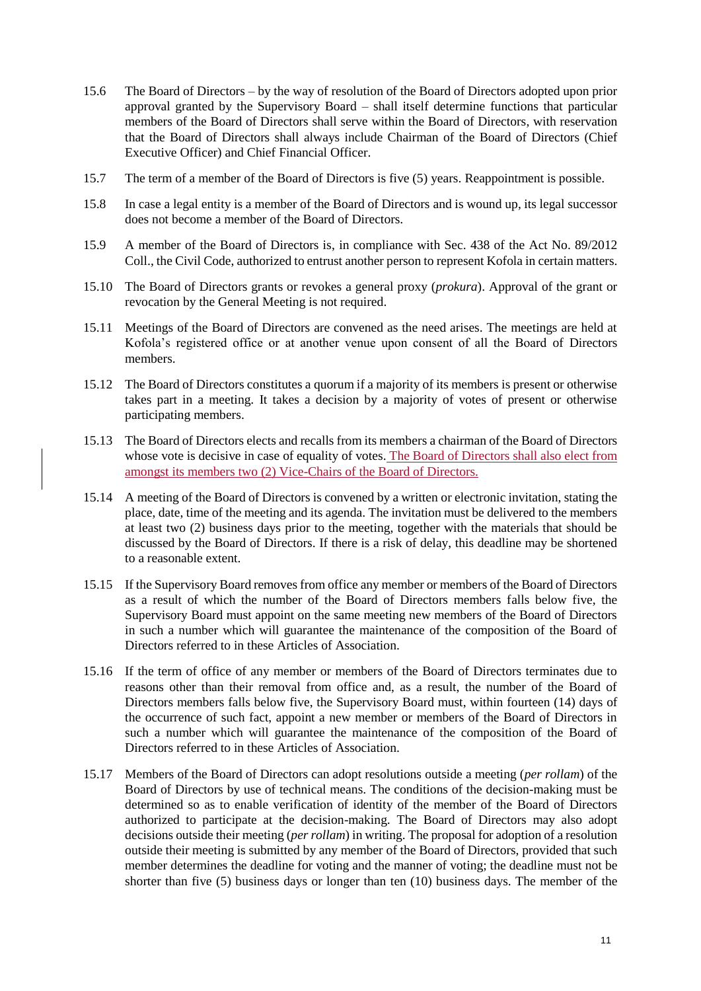- 15.6 The Board of Directors by the way of resolution of the Board of Directors adopted upon prior approval granted by the Supervisory Board – shall itself determine functions that particular members of the Board of Directors shall serve within the Board of Directors, with reservation that the Board of Directors shall always include Chairman of the Board of Directors (Chief Executive Officer) and Chief Financial Officer.
- 15.7 The term of a member of the Board of Directors is five (5) years. Reappointment is possible.
- 15.8 In case a legal entity is a member of the Board of Directors and is wound up, its legal successor does not become a member of the Board of Directors.
- 15.9 A member of the Board of Directors is, in compliance with Sec. 438 of the Act No. 89/2012 Coll., the Civil Code, authorized to entrust another person to represent Kofola in certain matters.
- 15.10 The Board of Directors grants or revokes a general proxy (*prokura*). Approval of the grant or revocation by the General Meeting is not required.
- 15.11 Meetings of the Board of Directors are convened as the need arises. The meetings are held at Kofola's registered office or at another venue upon consent of all the Board of Directors members.
- 15.12 The Board of Directors constitutes a quorum if a majority of its members is present or otherwise takes part in a meeting. It takes a decision by a majority of votes of present or otherwise participating members.
- 15.13 The Board of Directors elects and recalls from its members a chairman of the Board of Directors whose vote is decisive in case of equality of votes. The Board of Directors shall also elect from amongst its members two (2) Vice-Chairs of the Board of Directors.
- 15.14 A meeting of the Board of Directors is convened by a written or electronic invitation, stating the place, date, time of the meeting and its agenda. The invitation must be delivered to the members at least two (2) business days prior to the meeting, together with the materials that should be discussed by the Board of Directors. If there is a risk of delay, this deadline may be shortened to a reasonable extent.
- 15.15 If the Supervisory Board removes from office any member or members of the Board of Directors as a result of which the number of the Board of Directors members falls below five, the Supervisory Board must appoint on the same meeting new members of the Board of Directors in such a number which will guarantee the maintenance of the composition of the Board of Directors referred to in these Articles of Association.
- 15.16 If the term of office of any member or members of the Board of Directors terminates due to reasons other than their removal from office and, as a result, the number of the Board of Directors members falls below five, the Supervisory Board must, within fourteen (14) days of the occurrence of such fact, appoint a new member or members of the Board of Directors in such a number which will guarantee the maintenance of the composition of the Board of Directors referred to in these Articles of Association.
- 15.17 Members of the Board of Directors can adopt resolutions outside a meeting (*per rollam*) of the Board of Directors by use of technical means. The conditions of the decision-making must be determined so as to enable verification of identity of the member of the Board of Directors authorized to participate at the decision-making. The Board of Directors may also adopt decisions outside their meeting (*per rollam*) in writing. The proposal for adoption of a resolution outside their meeting is submitted by any member of the Board of Directors, provided that such member determines the deadline for voting and the manner of voting; the deadline must not be shorter than five (5) business days or longer than ten (10) business days. The member of the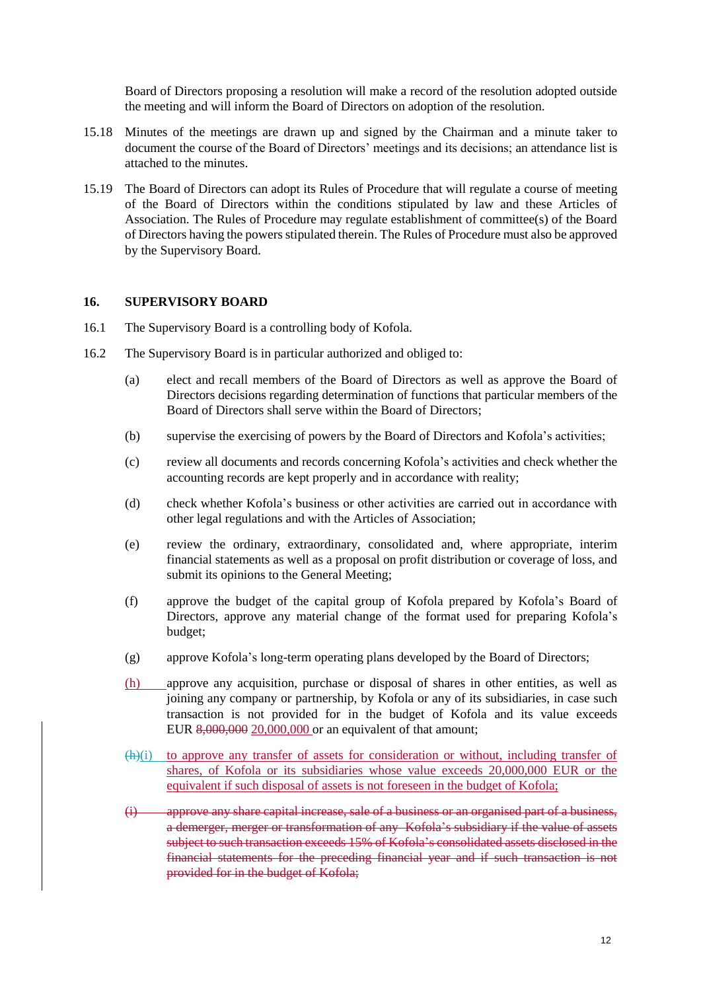Board of Directors proposing a resolution will make a record of the resolution adopted outside the meeting and will inform the Board of Directors on adoption of the resolution.

- 15.18 Minutes of the meetings are drawn up and signed by the Chairman and a minute taker to document the course of the Board of Directors' meetings and its decisions; an attendance list is attached to the minutes.
- 15.19 The Board of Directors can adopt its Rules of Procedure that will regulate a course of meeting of the Board of Directors within the conditions stipulated by law and these Articles of Association. The Rules of Procedure may regulate establishment of committee(s) of the Board of Directors having the powers stipulated therein. The Rules of Procedure must also be approved by the Supervisory Board.

#### **16. SUPERVISORY BOARD**

- 16.1 The Supervisory Board is a controlling body of Kofola.
- <span id="page-11-2"></span><span id="page-11-1"></span><span id="page-11-0"></span>16.2 The Supervisory Board is in particular authorized and obliged to:
	- (a) elect and recall members of the Board of Directors as well as approve the Board of Directors decisions regarding determination of functions that particular members of the Board of Directors shall serve within the Board of Directors;
	- (b) supervise the exercising of powers by the Board of Directors and Kofola's activities;
	- (c) review all documents and records concerning Kofola's activities and check whether the accounting records are kept properly and in accordance with reality;
	- (d) check whether Kofola's business or other activities are carried out in accordance with other legal regulations and with the Articles of Association;
	- (e) review the ordinary, extraordinary, consolidated and, where appropriate, interim financial statements as well as a proposal on profit distribution or coverage of loss, and submit its opinions to the General Meeting;
	- (f) approve the budget of the capital group of Kofola prepared by Kofola's Board of Directors, approve any material change of the format used for preparing Kofola's budget;
	- (g) approve Kofola's long-term operating plans developed by the Board of Directors;
	- (h) approve any acquisition, purchase or disposal of shares in other entities, as well as joining any company or partnership, by Kofola or any of its subsidiaries, in case such transaction is not provided for in the budget of Kofola and its value exceeds EUR 8,000,000 20,000,000 or an equivalent of that amount;
	- (h)(i) to approve any transfer of assets for consideration or without, including transfer of shares, of Kofola or its subsidiaries whose value exceeds 20,000,000 EUR or the equivalent if such disposal of assets is not foreseen in the budget of Kofola;
	- (i) approve any share capital increase, sale of a business or an organised part of a business, a demerger, merger or transformation of any Kofola's subsidiary if the value of assets subject to such transaction exceeds 15% of Kofola's consolidated assets disclosed in the financial statements for the preceding financial year and if such transaction is not provided for in the budget of Kofola;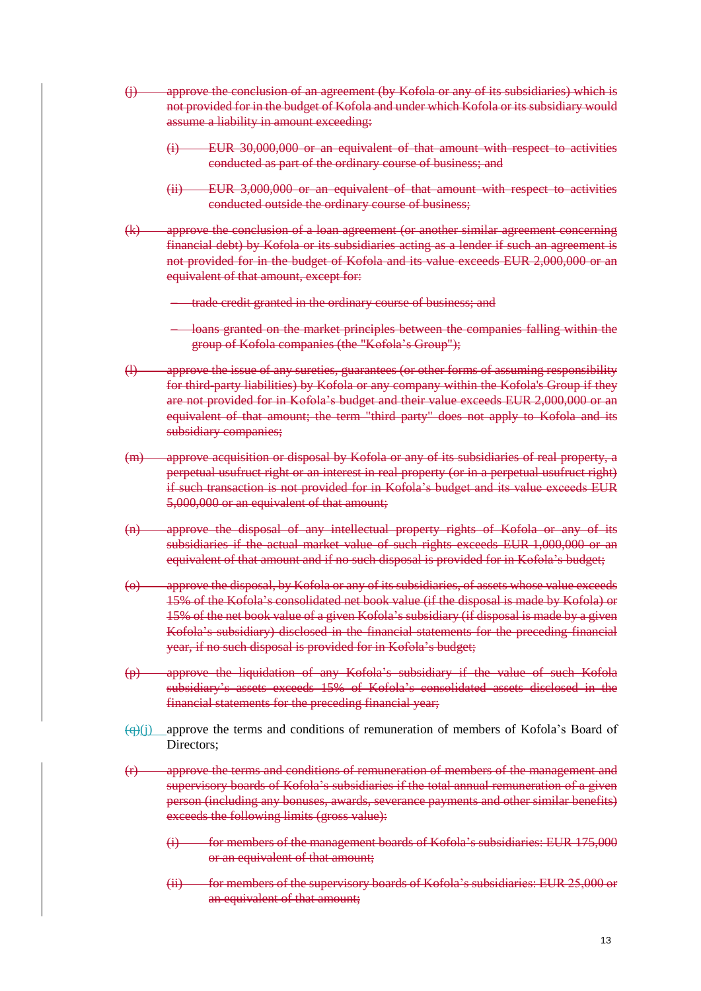- <span id="page-12-1"></span>(j) approve the conclusion of an agreement (by Kofola or any of its subsidiaries) which is not provided for in the budget of Kofola and under which Kofola or its subsidiary would assume a liability in amount exceeding:
	- (i) EUR 30,000,000 or an equivalent of that amount with respect to activities conducted as part of the ordinary course of business; and
	- (ii) EUR 3,000,000 or an equivalent of that amount with respect to activities conducted outside the ordinary course of business;
- (k) approve the conclusion of a loan agreement (or another similar agreement concerning financial debt) by Kofola or its subsidiaries acting as a lender if such an agreement is not provided for in the budget of Kofola and its value exceeds EUR 2,000,000 or an equivalent of that amount, except for:
	- trade credit granted in the ordinary course of business; and
	- loans granted on the market principles between the companies falling within the group of Kofola companies (the "Kofola's Group");
- (l) approve the issue of any sureties, guarantees (or other forms of assuming responsibility for third-party liabilities) by Kofola or any company within the Kofola's Group if they are not provided for in Kofola's budget and their value exceeds EUR 2,000,000 or an equivalent of that amount; the term "third party" does not apply to Kofola and its subsidiary companies;
- <span id="page-12-0"></span>(m) approve acquisition or disposal by Kofola or any of its subsidiaries of real property, a perpetual usufruct right or an interest in real property (or in a perpetual usufruct right) if such transaction is not provided for in Kofola's budget and its value exceeds EUR 5,000,000 or an equivalent of that amount;
- (n) approve the disposal of any intellectual property rights of Kofola or any of its subsidiaries if the actual market value of such rights exceeds EUR 1,000,000 or an equivalent of that amount and if no such disposal is provided for in Kofola's budget;
- <span id="page-12-2"></span>(o) approve the disposal, by Kofola or any of its subsidiaries, of assets whose value exceeds 15% of the Kofola's consolidated net book value (if the disposal is made by Kofola) or 15% of the net book value of a given Kofola's subsidiary (if disposal is made by a given Kofola's subsidiary) disclosed in the financial statements for the preceding financial year, if no such disposal is provided for in Kofola's budget;
- (p) approve the liquidation of any Kofola's subsidiary if the value of such Kofola subsidiary's assets exceeds 15% of Kofola's consolidated assets disclosed in the financial statements for the preceding financial year;
- $\left(\frac{q}{r}\right)(i)$  approve the terms and conditions of remuneration of members of Kofola's Board of Directors<sup>.</sup>
- (r) approve the terms and conditions of remuneration of members of the management and supervisory boards of Kofola's subsidiaries if the total annual remuneration of a given person (including any bonuses, awards, severance payments and other similar benefits) exceeds the following limits (gross value):
	- (i) for members of the management boards of Kofola's subsidiaries: EUR 175,000 or an equivalent of that amount;
	- (ii) for members of the supervisory boards of Kofola's subsidiaries: EUR 25,000 or an equivalent of that amount;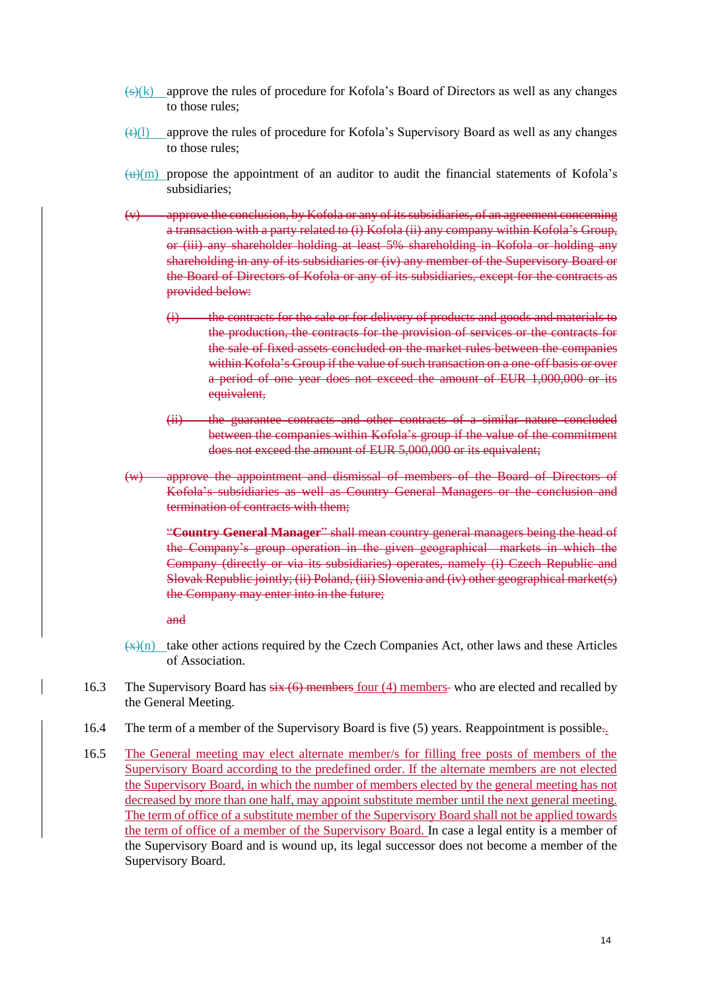- $\frac{f(x)}{g(x)}$  approve the rules of procedure for Kofola's Board of Directors as well as any changes to those rules;
- $\left(\frac{f(t)}{f(t)}\right)$  approve the rules of procedure for Kofola's Supervisory Board as well as any changes to those rules;
- $\frac{u}{m}$  propose the appointment of an auditor to audit the financial statements of Kofola's subsidiaries;
- $(v)$  approve the conclusion, by Kofola or any of its subsidiaries, of an agreement concerning a transaction with a party related to (i) Kofola (ii) any company within Kofola's Group, or (iii) any shareholder holding at least 5% shareholding in Kofola or holding any shareholding in any of its subsidiaries or (iv) any member of the Supervisory Board or the Board of Directors of Kofola or any of its subsidiaries, except for the contracts as provided below:
	- (i) the contracts for the sale or for delivery of products and goods and materials to the production, the contracts for the provision of services or the contracts for the sale of fixed assets concluded on the market rules between the companies within Kofola's Group if the value of such transaction on a one-off basis or over a period of one year does not exceed the amount of EUR 1,000,000 or its equivalent,
	- (ii) the guarantee contracts and other contracts of a similar nature concluded between the companies within Kofola's group if the value of the commitment does not exceed the amount of EUR 5,000,000 or its equivalent;
- (w) approve the appointment and dismissal of members of the Board of Directors of Kofola's subsidiaries as well as Country General Managers or the conclusion and termination of contracts with them;

"**Country General Manager**" shall mean country general managers being the head of the Company's group operation in the given geographical markets in which the Company (directly or via its subsidiaries) operates, namely (i) Czech Republic and Slovak Republic jointly; (ii) Poland, (iii) Slovenia and (iv) other geographical market(s) the Company may enter into in the future;

and

- $\leftrightarrow$ (n) take other actions required by the Czech Companies Act, other laws and these Articles of Association.
- 16.3 The Supervisory Board has  $\frac{1}{5}$   $\frac{1}{5}$  members four (4) members- who are elected and recalled by the General Meeting.
- 16.4 The term of a member of the Supervisory Board is five (5) years. Reappointment is possible..
- 16.5 The General meeting may elect alternate member/s for filling free posts of members of the Supervisory Board according to the predefined order. If the alternate members are not elected the Supervisory Board, in which the number of members elected by the general meeting has not decreased by more than one half, may appoint substitute member until the next general meeting. The term of office of a substitute member of the Supervisory Board shall not be applied towards the term of office of a member of the Supervisory Board. In case a legal entity is a member of the Supervisory Board and is wound up, its legal successor does not become a member of the Supervisory Board.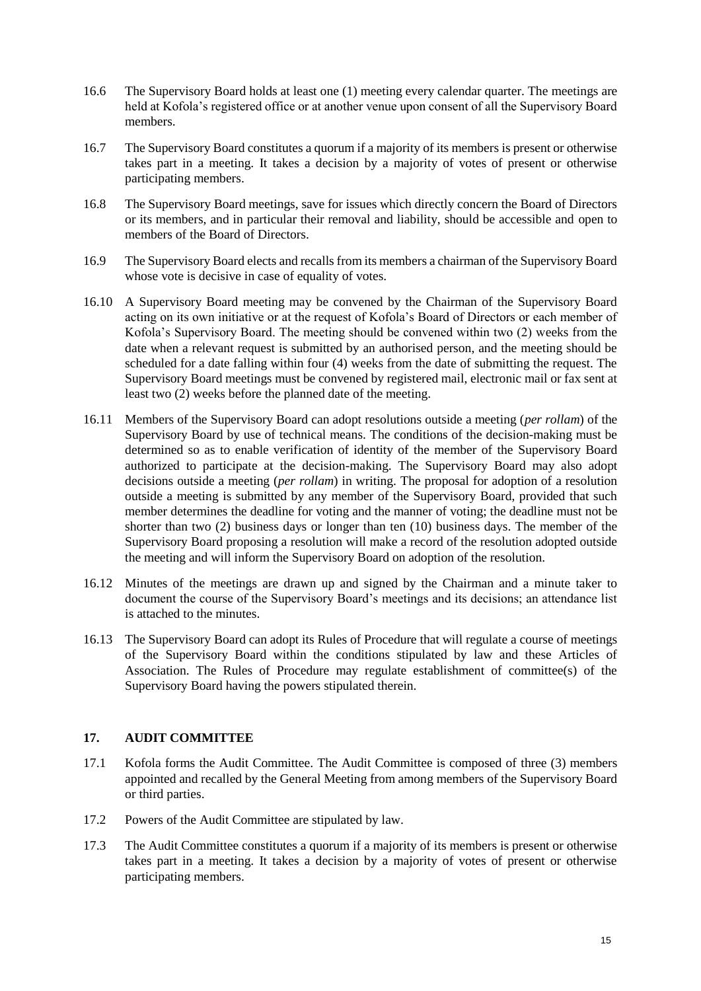- 16.6 The Supervisory Board holds at least one (1) meeting every calendar quarter. The meetings are held at Kofola's registered office or at another venue upon consent of all the Supervisory Board members.
- 16.7 The Supervisory Board constitutes a quorum if a majority of its members is present or otherwise takes part in a meeting. It takes a decision by a majority of votes of present or otherwise participating members.
- 16.8 The Supervisory Board meetings, save for issues which directly concern the Board of Directors or its members, and in particular their removal and liability, should be accessible and open to members of the Board of Directors.
- 16.9 The Supervisory Board elects and recalls from its members a chairman of the Supervisory Board whose vote is decisive in case of equality of votes.
- 16.10 A Supervisory Board meeting may be convened by the Chairman of the Supervisory Board acting on its own initiative or at the request of Kofola's Board of Directors or each member of Kofola's Supervisory Board. The meeting should be convened within two (2) weeks from the date when a relevant request is submitted by an authorised person, and the meeting should be scheduled for a date falling within four (4) weeks from the date of submitting the request. The Supervisory Board meetings must be convened by registered mail, electronic mail or fax sent at least two (2) weeks before the planned date of the meeting.
- 16.11 Members of the Supervisory Board can adopt resolutions outside a meeting (*per rollam*) of the Supervisory Board by use of technical means. The conditions of the decision-making must be determined so as to enable verification of identity of the member of the Supervisory Board authorized to participate at the decision-making. The Supervisory Board may also adopt decisions outside a meeting (*per rollam*) in writing. The proposal for adoption of a resolution outside a meeting is submitted by any member of the Supervisory Board, provided that such member determines the deadline for voting and the manner of voting; the deadline must not be shorter than two (2) business days or longer than ten (10) business days. The member of the Supervisory Board proposing a resolution will make a record of the resolution adopted outside the meeting and will inform the Supervisory Board on adoption of the resolution.
- 16.12 Minutes of the meetings are drawn up and signed by the Chairman and a minute taker to document the course of the Supervisory Board's meetings and its decisions; an attendance list is attached to the minutes.
- 16.13 The Supervisory Board can adopt its Rules of Procedure that will regulate a course of meetings of the Supervisory Board within the conditions stipulated by law and these Articles of Association. The Rules of Procedure may regulate establishment of committee(s) of the Supervisory Board having the powers stipulated therein.

# **17. AUDIT COMMITTEE**

- 17.1 Kofola forms the Audit Committee. The Audit Committee is composed of three (3) members appointed and recalled by the General Meeting from among members of the Supervisory Board or third parties.
- 17.2 Powers of the Audit Committee are stipulated by law.
- 17.3 The Audit Committee constitutes a quorum if a majority of its members is present or otherwise takes part in a meeting. It takes a decision by a majority of votes of present or otherwise participating members.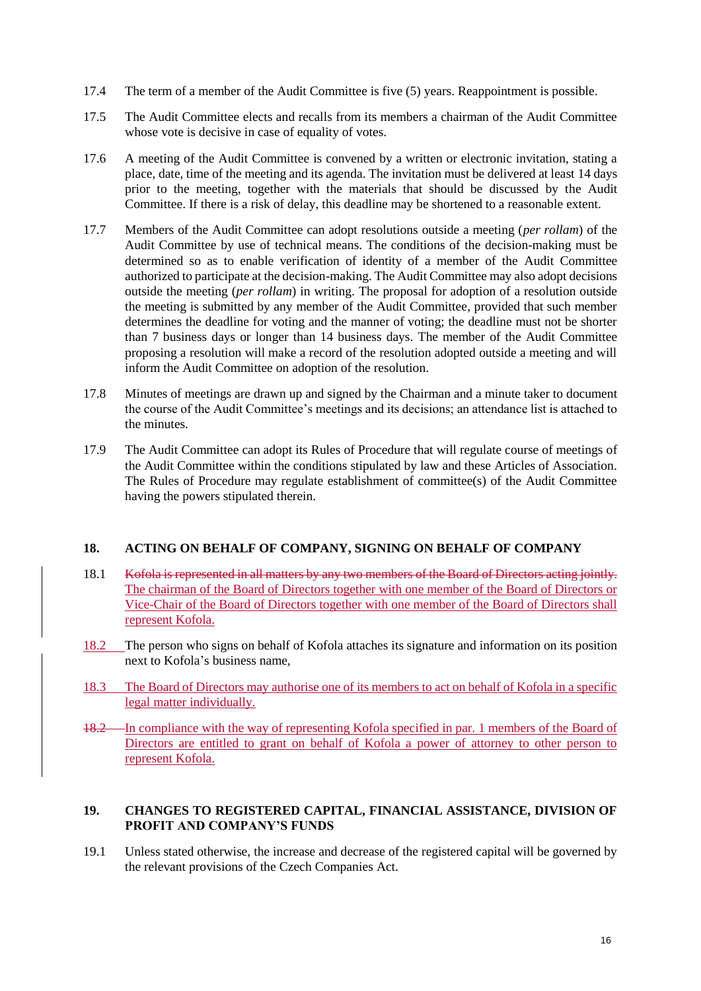- 17.4 The term of a member of the Audit Committee is five (5) years. Reappointment is possible.
- 17.5 The Audit Committee elects and recalls from its members a chairman of the Audit Committee whose vote is decisive in case of equality of votes.
- 17.6 A meeting of the Audit Committee is convened by a written or electronic invitation, stating a place, date, time of the meeting and its agenda. The invitation must be delivered at least 14 days prior to the meeting, together with the materials that should be discussed by the Audit Committee. If there is a risk of delay, this deadline may be shortened to a reasonable extent.
- 17.7 Members of the Audit Committee can adopt resolutions outside a meeting (*per rollam*) of the Audit Committee by use of technical means. The conditions of the decision-making must be determined so as to enable verification of identity of a member of the Audit Committee authorized to participate at the decision-making. The Audit Committee may also adopt decisions outside the meeting (*per rollam*) in writing. The proposal for adoption of a resolution outside the meeting is submitted by any member of the Audit Committee, provided that such member determines the deadline for voting and the manner of voting; the deadline must not be shorter than 7 business days or longer than 14 business days. The member of the Audit Committee proposing a resolution will make a record of the resolution adopted outside a meeting and will inform the Audit Committee on adoption of the resolution.
- 17.8 Minutes of meetings are drawn up and signed by the Chairman and a minute taker to document the course of the Audit Committee's meetings and its decisions; an attendance list is attached to the minutes.
- 17.9 The Audit Committee can adopt its Rules of Procedure that will regulate course of meetings of the Audit Committee within the conditions stipulated by law and these Articles of Association. The Rules of Procedure may regulate establishment of committee(s) of the Audit Committee having the powers stipulated therein.

# **18. ACTING ON BEHALF OF COMPANY, SIGNING ON BEHALF OF COMPANY**

- 18.1 Kofola is represented in all matters by any two members of the Board of Directors acting jointly. The chairman of the Board of Directors together with one member of the Board of Directors or Vice-Chair of the Board of Directors together with one member of the Board of Directors shall represent Kofola.
- 18.2 The person who signs on behalf of Kofola attaches its signature and information on its position next to Kofola's business name,
- 18.3 The Board of Directors may authorise one of its members to act on behalf of Kofola in a specific legal matter individually.
- 18.2 In compliance with the way of representing Kofola specified in par. 1 members of the Board of Directors are entitled to grant on behalf of Kofola a power of attorney to other person to represent Kofola.

# **19. CHANGES TO REGISTERED CAPITAL, FINANCIAL ASSISTANCE, DIVISION OF PROFIT AND COMPANY'S FUNDS**

19.1 Unless stated otherwise, the increase and decrease of the registered capital will be governed by the relevant provisions of the Czech Companies Act.